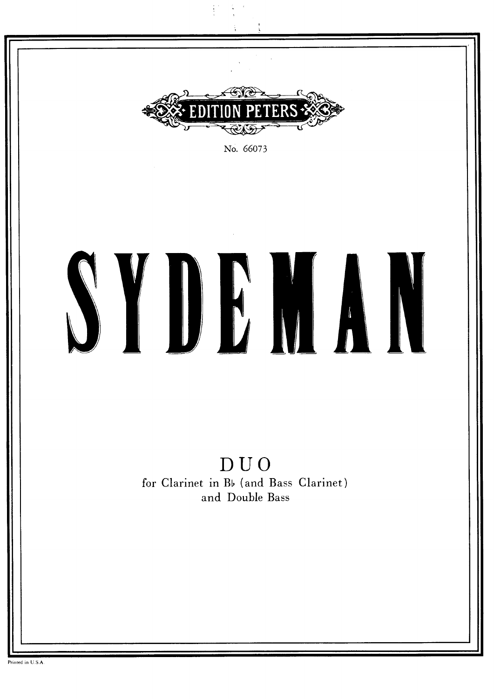

No. 66073

## SUBDALA

## DU<sub>O</sub> for Clarinet in Bb (and Bass Clarinet) and Double Bass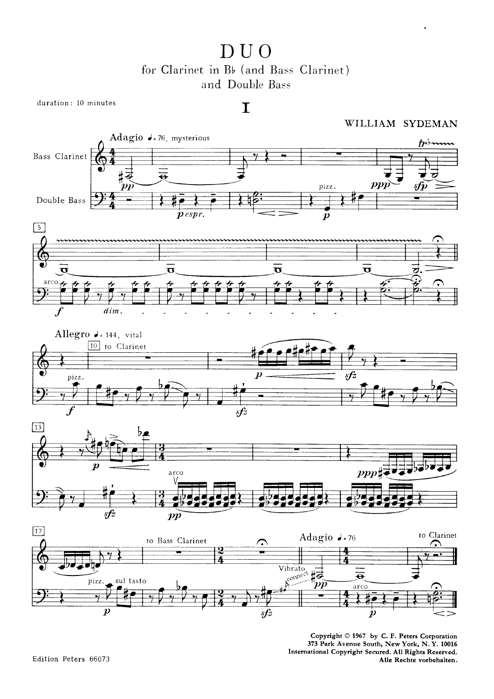DUO for Clarinet in Bb (and Bass Clarinet) and Double Bass

I

duration: <sup>10</sup> minutes

## WILLIAM SYDEMAN



Copyright O 1967 by C. F. Peters Corporation 373 Park Avenue South, New York, N. Y. 10016 International Copyright Secured. All Rights Reserved. Alle Rechte votbehalten.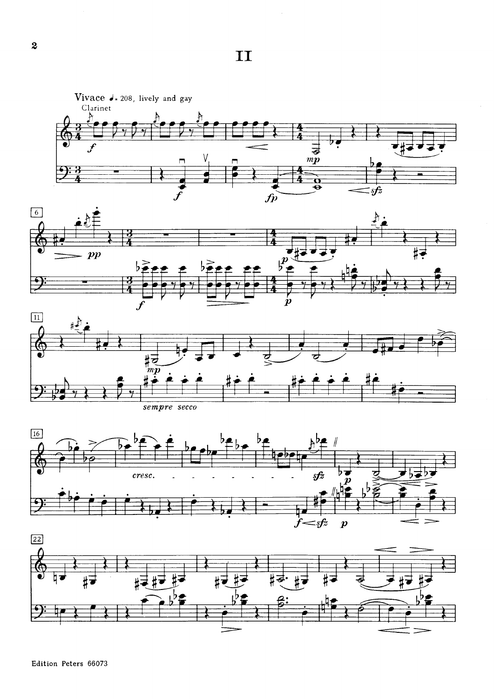









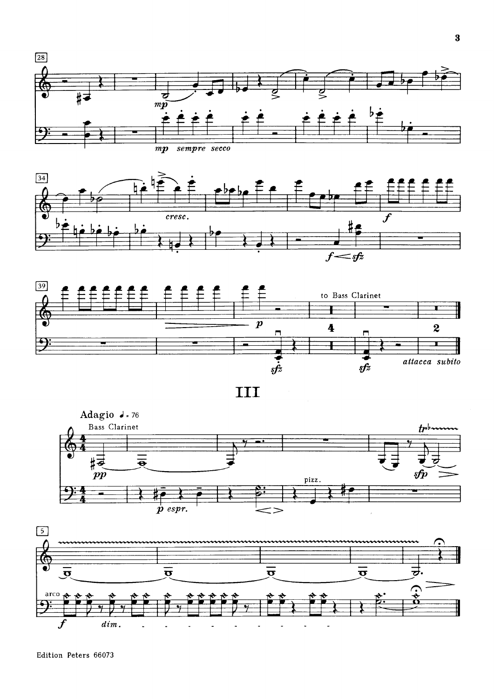





III





Edition Peters 66073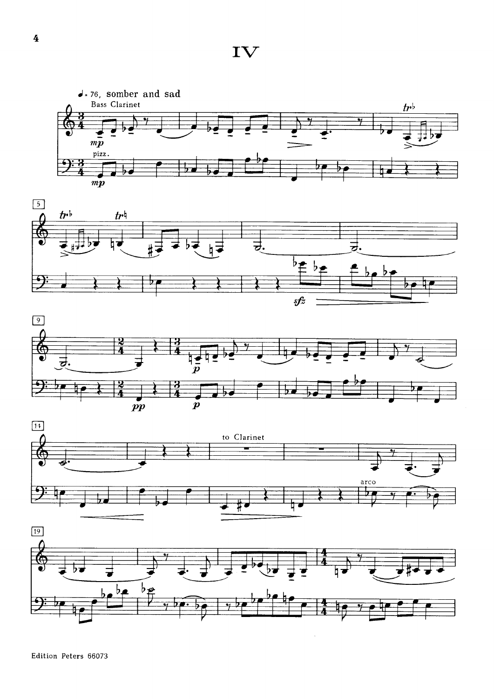IV









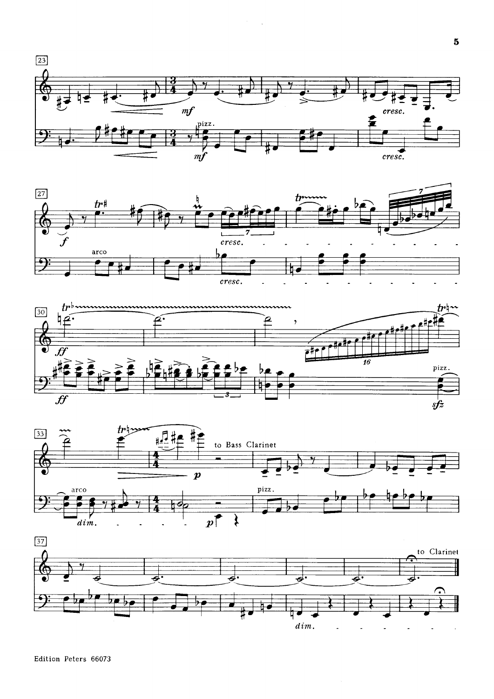

 $\overline{\mathbf{5}}$ 







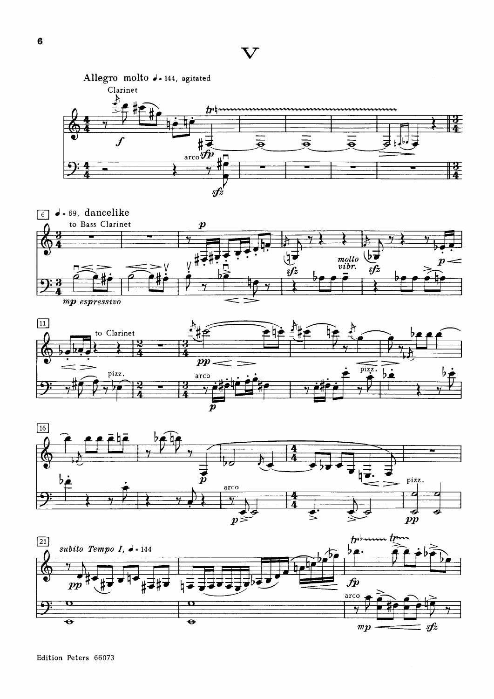

 $\bm{\nabla}$ 







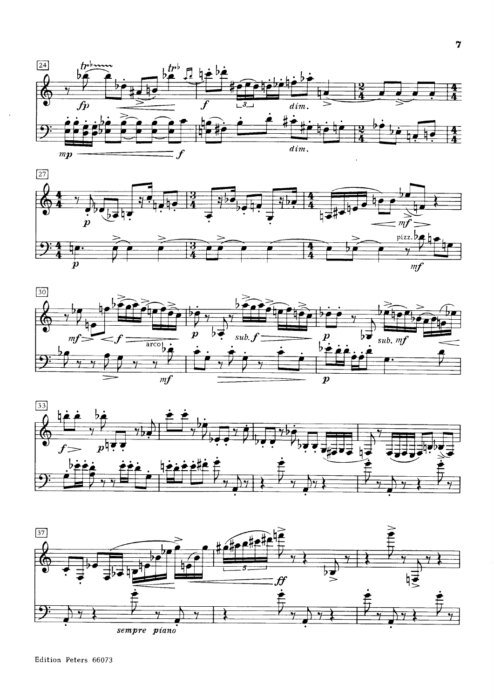









 $\overline{7}$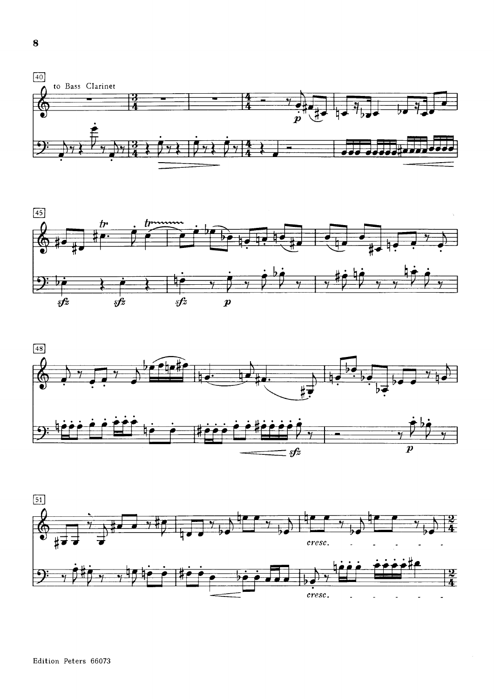